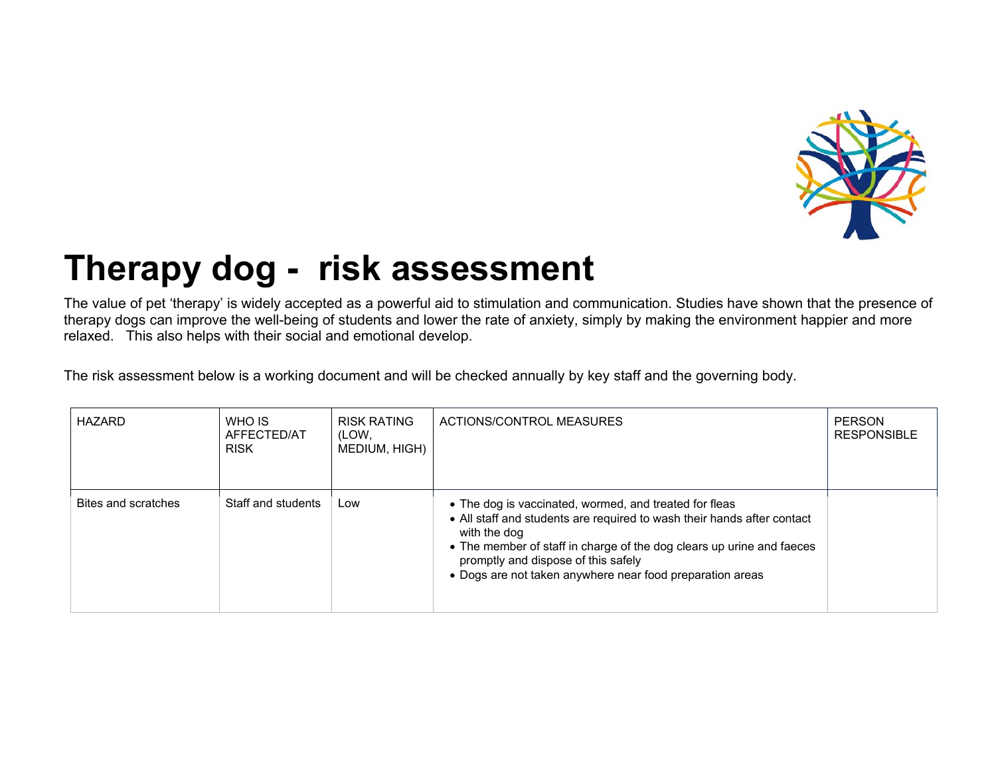

## **Therapy dog - risk assessment**

The value of pet 'therapy' is widely accepted as a powerful aid to stimulation and communication. Studies have shown that the presence of therapy dogs can improve the well-being of students and lower the rate of anxiety, simply by making the environment happier and more relaxed. This also helps with their social and emotional develop.

The risk assessment below is a working document and will be checked annually by key staff and the governing body.

| HAZARD              | WHO IS<br>AFFECTED/AT<br><b>RISK</b> | <b>RISK RATING</b><br>(LOW,<br>MEDIUM, HIGH) | ACTIONS/CONTROL MEASURES                                                                                                                                                                                                                                                                                                       | <b>PERSON</b><br><b>RESPONSIBLE</b> |
|---------------------|--------------------------------------|----------------------------------------------|--------------------------------------------------------------------------------------------------------------------------------------------------------------------------------------------------------------------------------------------------------------------------------------------------------------------------------|-------------------------------------|
| Bites and scratches | Staff and students                   | Low                                          | • The dog is vaccinated, wormed, and treated for fleas<br>• All staff and students are required to wash their hands after contact<br>with the dog<br>• The member of staff in charge of the dog clears up urine and faeces<br>promptly and dispose of this safely<br>• Dogs are not taken anywhere near food preparation areas |                                     |